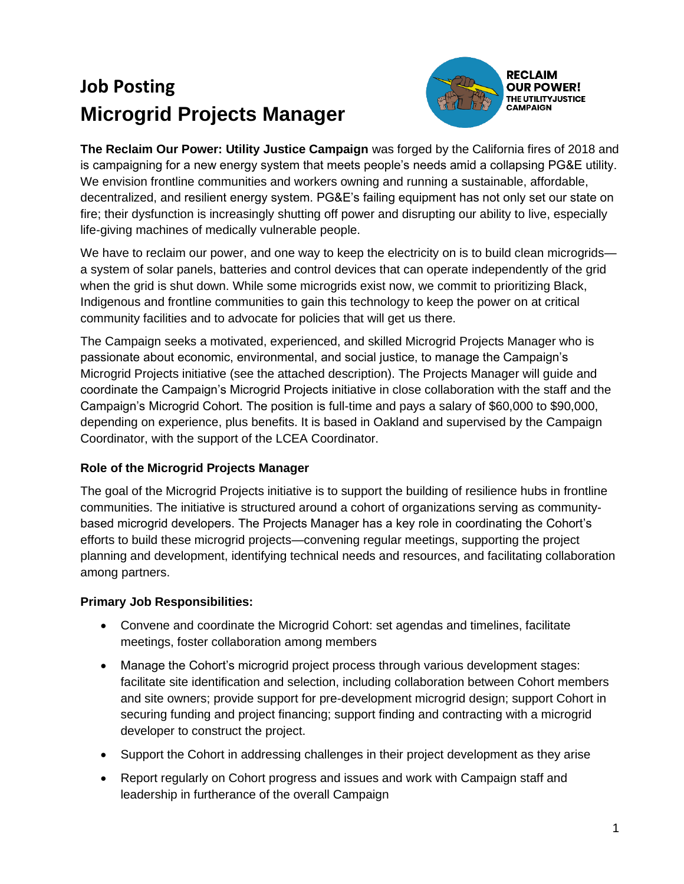# **Job Posting Microgrid Projects Manager**



**The Reclaim Our Power: Utility Justice Campaign** was forged by the California fires of 2018 and is campaigning for a new energy system that meets people's needs amid a collapsing PG&E utility. We envision frontline communities and workers owning and running a sustainable, affordable, decentralized, and resilient energy system. PG&E's failing equipment has not only set our state on fire; their dysfunction is increasingly shutting off power and disrupting our ability to live, especially life-giving machines of medically vulnerable people.

We have to reclaim our power, and one way to keep the electricity on is to build clean microgrids a system of solar panels, batteries and control devices that can operate independently of the grid when the grid is shut down. While some microgrids exist now, we commit to prioritizing Black, Indigenous and frontline communities to gain this technology to keep the power on at critical community facilities and to advocate for policies that will get us there.

The Campaign seeks a motivated, experienced, and skilled Microgrid Projects Manager who is passionate about economic, environmental, and social justice, to manage the Campaign's Microgrid Projects initiative (see the attached description). The Projects Manager will guide and coordinate the Campaign's Microgrid Projects initiative in close collaboration with the staff and the Campaign's Microgrid Cohort. The position is full-time and pays a salary of \$60,000 to \$90,000, depending on experience, plus benefits. It is based in Oakland and supervised by the Campaign Coordinator, with the support of the LCEA Coordinator.

#### **Role of the Microgrid Projects Manager**

The goal of the Microgrid Projects initiative is to support the building of resilience hubs in frontline communities. The initiative is structured around a cohort of organizations serving as communitybased microgrid developers. The Projects Manager has a key role in coordinating the Cohort's efforts to build these microgrid projects—convening regular meetings, supporting the project planning and development, identifying technical needs and resources, and facilitating collaboration among partners.

## **Primary Job Responsibilities:**

- Convene and coordinate the Microgrid Cohort: set agendas and timelines, facilitate meetings, foster collaboration among members
- Manage the Cohort's microgrid project process through various development stages: facilitate site identification and selection, including collaboration between Cohort members and site owners; provide support for pre-development microgrid design; support Cohort in securing funding and project financing; support finding and contracting with a microgrid developer to construct the project.
- Support the Cohort in addressing challenges in their project development as they arise
- Report regularly on Cohort progress and issues and work with Campaign staff and leadership in furtherance of the overall Campaign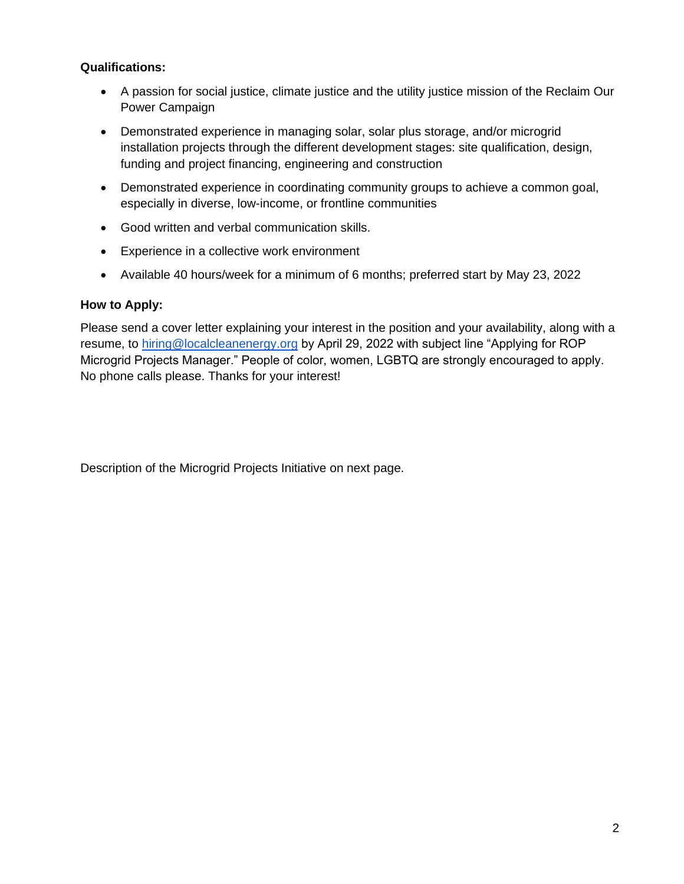#### **Qualifications:**

- A passion for social justice, climate justice and the utility justice mission of the Reclaim Our Power Campaign
- Demonstrated experience in managing solar, solar plus storage, and/or microgrid installation projects through the different development stages: site qualification, design, funding and project financing, engineering and construction
- Demonstrated experience in coordinating community groups to achieve a common goal, especially in diverse, low-income, or frontline communities
- Good written and verbal communication skills.
- Experience in a collective work environment
- Available 40 hours/week for a minimum of 6 months; preferred start by May 23, 2022

#### **How to Apply:**

Please send a cover letter explaining your interest in the position and your availability, along with a resume, to [hiring@localcleanenergy.org](mailto:hiring@localcleanenergy.org) by April 29, 2022 with subject line "Applying for ROP Microgrid Projects Manager." People of color, women, LGBTQ are strongly encouraged to apply. No phone calls please. Thanks for your interest!

Description of the Microgrid Projects Initiative on next page.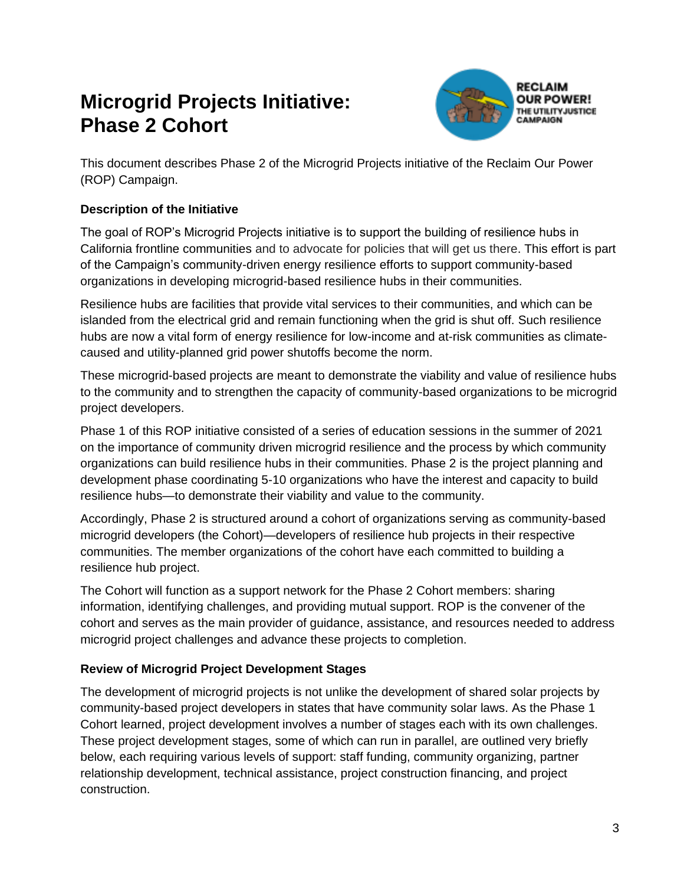## **Microgrid Projects Initiative: Phase 2 Cohort**



This document describes Phase 2 of the Microgrid Projects initiative of the Reclaim Our Power (ROP) Campaign.

## **Description of the Initiative**

The goal of ROP's Microgrid Projects initiative is to support the building of resilience hubs in California frontline communities and to advocate for policies that will get us there. This effort is part of the Campaign's community-driven energy resilience efforts to support community-based organizations in developing microgrid-based resilience hubs in their communities.

Resilience hubs are facilities that provide vital services to their communities, and which can be islanded from the electrical grid and remain functioning when the grid is shut off. Such resilience hubs are now a vital form of energy resilience for low-income and at-risk communities as climatecaused and utility-planned grid power shutoffs become the norm.

These microgrid-based projects are meant to demonstrate the viability and value of resilience hubs to the community and to strengthen the capacity of community-based organizations to be microgrid project developers.

Phase 1 of this ROP initiative consisted of a series of education sessions in the summer of 2021 on the importance of community driven microgrid resilience and the process by which community organizations can build resilience hubs in their communities. Phase 2 is the project planning and development phase coordinating 5-10 organizations who have the interest and capacity to build resilience hubs—to demonstrate their viability and value to the community.

Accordingly, Phase 2 is structured around a cohort of organizations serving as community-based microgrid developers (the Cohort)—developers of resilience hub projects in their respective communities. The member organizations of the cohort have each committed to building a resilience hub project.

The Cohort will function as a support network for the Phase 2 Cohort members: sharing information, identifying challenges, and providing mutual support. ROP is the convener of the cohort and serves as the main provider of guidance, assistance, and resources needed to address microgrid project challenges and advance these projects to completion.

#### **Review of Microgrid Project Development Stages**

The development of microgrid projects is not unlike the development of shared solar projects by community-based project developers in states that have community solar laws. As the Phase 1 Cohort learned, project development involves a number of stages each with its own challenges. These project development stages, some of which can run in parallel, are outlined very briefly below, each requiring various levels of support: staff funding, community organizing, partner relationship development, technical assistance, project construction financing, and project construction.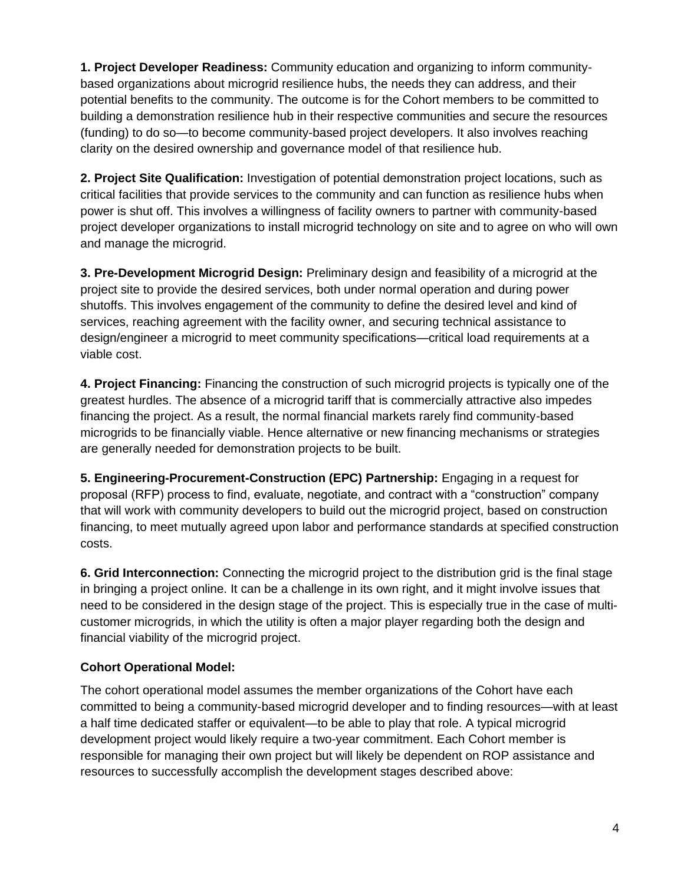**1. Project Developer Readiness:** Community education and organizing to inform communitybased organizations about microgrid resilience hubs, the needs they can address, and their potential benefits to the community. The outcome is for the Cohort members to be committed to building a demonstration resilience hub in their respective communities and secure the resources (funding) to do so—to become community-based project developers. It also involves reaching clarity on the desired ownership and governance model of that resilience hub.

**2. Project Site Qualification:** Investigation of potential demonstration project locations, such as critical facilities that provide services to the community and can function as resilience hubs when power is shut off. This involves a willingness of facility owners to partner with community-based project developer organizations to install microgrid technology on site and to agree on who will own and manage the microgrid.

**3. Pre-Development Microgrid Design:** Preliminary design and feasibility of a microgrid at the project site to provide the desired services, both under normal operation and during power shutoffs. This involves engagement of the community to define the desired level and kind of services, reaching agreement with the facility owner, and securing technical assistance to design/engineer a microgrid to meet community specifications—critical load requirements at a viable cost.

**4. Project Financing:** Financing the construction of such microgrid projects is typically one of the greatest hurdles. The absence of a microgrid tariff that is commercially attractive also impedes financing the project. As a result, the normal financial markets rarely find community-based microgrids to be financially viable. Hence alternative or new financing mechanisms or strategies are generally needed for demonstration projects to be built.

**5. Engineering-Procurement-Construction (EPC) Partnership:** Engaging in a request for proposal (RFP) process to find, evaluate, negotiate, and contract with a "construction" company that will work with community developers to build out the microgrid project, based on construction financing, to meet mutually agreed upon labor and performance standards at specified construction costs.

**6. Grid Interconnection:** Connecting the microgrid project to the distribution grid is the final stage in bringing a project online. It can be a challenge in its own right, and it might involve issues that need to be considered in the design stage of the project. This is especially true in the case of multicustomer microgrids, in which the utility is often a major player regarding both the design and financial viability of the microgrid project.

## **Cohort Operational Model:**

The cohort operational model assumes the member organizations of the Cohort have each committed to being a community-based microgrid developer and to finding resources—with at least a half time dedicated staffer or equivalent—to be able to play that role. A typical microgrid development project would likely require a two-year commitment. Each Cohort member is responsible for managing their own project but will likely be dependent on ROP assistance and resources to successfully accomplish the development stages described above: